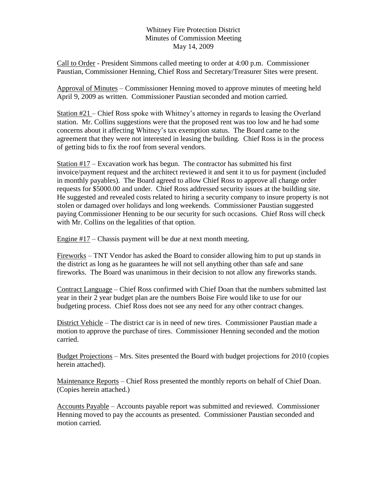## Whitney Fire Protection District Minutes of Commission Meeting May 14, 2009

Call to Order - President Simmons called meeting to order at 4:00 p.m. Commissioner Paustian, Commissioner Henning, Chief Ross and Secretary/Treasurer Sites were present.

Approval of Minutes – Commissioner Henning moved to approve minutes of meeting held April 9, 2009 as written. Commissioner Paustian seconded and motion carried.

Station #21 – Chief Ross spoke with Whitney's attorney in regards to leasing the Overland station. Mr. Collins suggestions were that the proposed rent was too low and he had some concerns about it affecting Whitney's tax exemption status. The Board came to the agreement that they were not interested in leasing the building. Chief Ross is in the process of getting bids to fix the roof from several vendors.

Station  $#17$  – Excavation work has begun. The contractor has submitted his first invoice/payment request and the architect reviewed it and sent it to us for payment (included in monthly payables). The Board agreed to allow Chief Ross to approve all change order requests for \$5000.00 and under. Chief Ross addressed security issues at the building site. He suggested and revealed costs related to hiring a security company to insure property is not stolen or damaged over holidays and long weekends. Commissioner Paustian suggested paying Commissioner Henning to be our security for such occasions. Chief Ross will check with Mr. Collins on the legalities of that option.

Engine  $#17$  – Chassis payment will be due at next month meeting.

Fireworks – TNT Vendor has asked the Board to consider allowing him to put up stands in the district as long as he guarantees he will not sell anything other than safe and sane fireworks. The Board was unanimous in their decision to not allow any fireworks stands.

Contract Language – Chief Ross confirmed with Chief Doan that the numbers submitted last year in their 2 year budget plan are the numbers Boise Fire would like to use for our budgeting process. Chief Ross does not see any need for any other contract changes.

District Vehicle – The district car is in need of new tires. Commissioner Paustian made a motion to approve the purchase of tires. Commissioner Henning seconded and the motion carried.

Budget Projections – Mrs. Sites presented the Board with budget projections for 2010 (copies herein attached).

Maintenance Reports – Chief Ross presented the monthly reports on behalf of Chief Doan. (Copies herein attached.)

Accounts Payable – Accounts payable report was submitted and reviewed. Commissioner Henning moved to pay the accounts as presented. Commissioner Paustian seconded and motion carried.